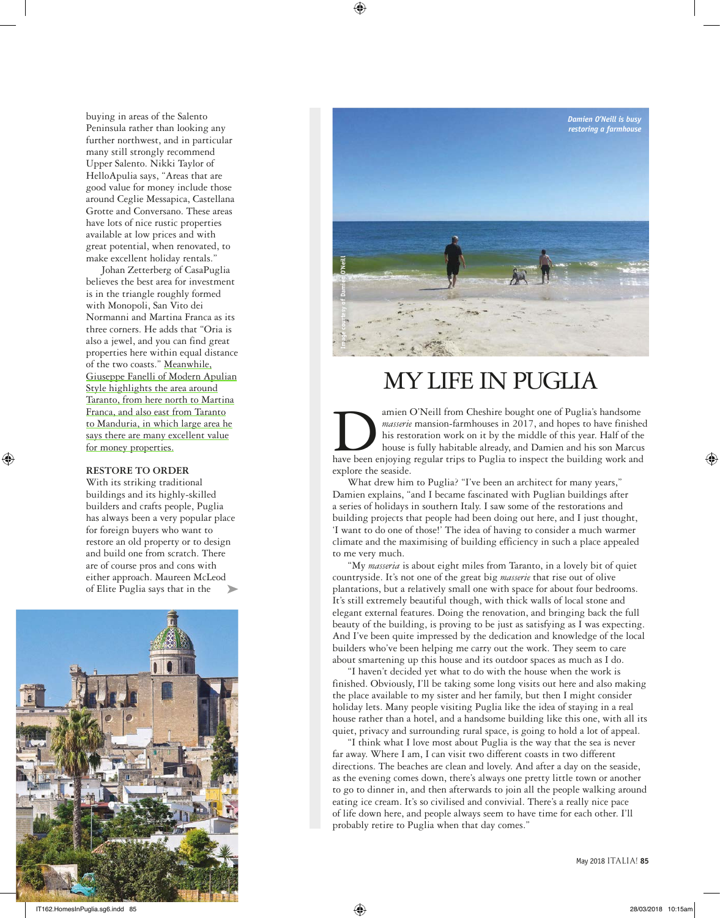buying in areas of the Salento Peninsula rather than looking any further northwest, and in particular many still strongly recommend Upper Salento. Nikki Taylor of HelloApulia says, "Areas that are good value for money include those around Ceglie Messapica, Castellana Grotte and Conversano. These areas have lots of nice rustic properties available at low prices and with great potential, when renovated, to make excellent holiday rentals."

Johan Zetterberg of CasaPuglia believes the best area for investment is in the triangle roughly formed with Monopoli, San Vito dei Normanni and Martina Franca as its three corners. He adds that "Oria is also a jewel, and you can find great properties here within equal distance of the two coasts." Meanwhile, Giuseppe Fanelli of Modern Apulian Style highlights the area around Taranto, from here north to Martina Franca, and also east from Taranto to Manduria, in which large area he says there are many excellent value for money properties.

#### **RESTORE TO ORDER**

With its striking traditional buildings and its highly-skilled builders and crafts people, Puglia has always been a very popular place for foreign buyers who want to restore an old property or to design and build one from scratch. There are of course pros and cons with either approach. Maureen McLeod of Elite Puglia says that in the





# MY LIFE IN PUGLIA

amien O'Neill from Cheshire bought one of Puglia's handsome masserie mansion-farmhouses in 2017, and hopes to have finished his restoration work on it by the middle of this year. Half of the house is fully habitable alread *masserie* mansion-farmhouses in 2017, and hopes to have finished his restoration work on it by the middle of this year. Half of the house is fully habitable already, and Damien and his son Marcus explore the seaside.

What drew him to Puglia? "I've been an architect for many years," Damien explains, "and I became fascinated with Puglian buildings after a series of holidays in southern Italy. I saw some of the restorations and building projects that people had been doing out here, and I just thought, 'I want to do one of those!' The idea of having to consider a much warmer climate and the maximising of building efficiency in such a place appealed to me very much.

"My *masseria* is about eight miles from Taranto, in a lovely bit of quiet countryside. It's not one of the great big *masserie* that rise out of olive plantations, but a relatively small one with space for about four bedrooms. It's still extremely beautiful though, with thick walls of local stone and elegant external features. Doing the renovation, and bringing back the full beauty of the building, is proving to be just as satisfying as I was expecting. And I've been quite impressed by the dedication and knowledge of the local builders who've been helping me carry out the work. They seem to care about smartening up this house and its outdoor spaces as much as I do.

"I haven't decided yet what to do with the house when the work is finished. Obviously, I'll be taking some long visits out here and also making the place available to my sister and her family, but then I might consider holiday lets. Many people visiting Puglia like the idea of staying in a real house rather than a hotel, and a handsome building like this one, with all its quiet, privacy and surrounding rural space, is going to hold a lot of appeal.

"I think what I love most about Puglia is the way that the sea is never far away. Where I am, I can visit two different coasts in two different directions. The beaches are clean and lovely. And after a day on the seaside, as the evening comes down, there's always one pretty little town or another to go to dinner in, and then afterwards to join all the people walking around eating ice cream. It's so civilised and convivial. There's a really nice pace of life down here, and people always seem to have time for each other. I'll probably retire to Puglia when that day comes."